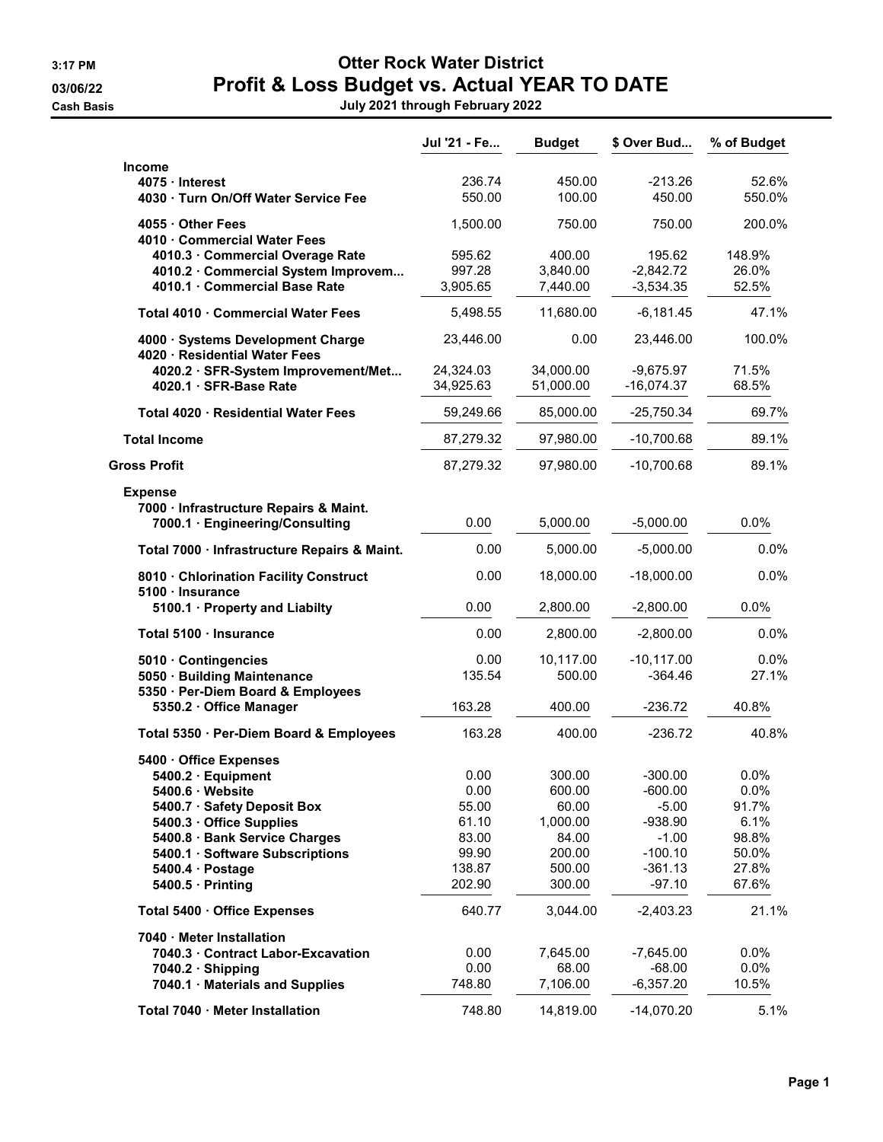## 3:17 PM Otter Rock Water District 03/06/22 **Profit & Loss Budget vs. Actual YEAR TO DATE**

Cash Basis July 2021 through February 2022

|                                                                                                                                                                                                                                                | Jul '21 - Fe                                                         | <b>Budget</b>                                                                | \$ Over Bud                                                                                     | % of Budget                                                       |
|------------------------------------------------------------------------------------------------------------------------------------------------------------------------------------------------------------------------------------------------|----------------------------------------------------------------------|------------------------------------------------------------------------------|-------------------------------------------------------------------------------------------------|-------------------------------------------------------------------|
| <b>Income</b><br>4075 · Interest<br>4030 · Turn On/Off Water Service Fee                                                                                                                                                                       | 236.74<br>550.00                                                     | 450.00<br>100.00                                                             | $-213.26$<br>450.00                                                                             | 52.6%<br>550.0%                                                   |
| 4055 · Other Fees                                                                                                                                                                                                                              | 1,500.00                                                             | 750.00                                                                       | 750.00                                                                                          | 200.0%                                                            |
| 4010 · Commercial Water Fees<br>4010.3 · Commercial Overage Rate<br>4010.2 · Commercial System Improvem<br>4010.1 · Commercial Base Rate                                                                                                       | 595.62<br>997.28<br>3,905.65                                         | 400.00<br>3,840.00<br>7,440.00                                               | 195.62<br>$-2,842.72$<br>$-3,534.35$                                                            | 148.9%<br>26.0%<br>52.5%                                          |
| Total 4010 · Commercial Water Fees                                                                                                                                                                                                             | 5,498.55                                                             | 11,680.00                                                                    | $-6,181.45$                                                                                     | 47.1%                                                             |
| 4000 · Systems Development Charge                                                                                                                                                                                                              | 23,446.00                                                            | 0.00                                                                         | 23,446.00                                                                                       | 100.0%                                                            |
| 4020 · Residential Water Fees<br>4020.2 · SFR-System Improvement/Met<br>4020.1 · SFR-Base Rate                                                                                                                                                 | 24,324.03<br>34,925.63                                               | 34,000.00<br>51,000.00                                                       | $-9,675.97$<br>$-16,074.37$                                                                     | 71.5%<br>68.5%                                                    |
| Total 4020 · Residential Water Fees                                                                                                                                                                                                            | 59,249.66                                                            | 85,000.00                                                                    | $-25,750.34$                                                                                    | 69.7%                                                             |
| <b>Total Income</b>                                                                                                                                                                                                                            | 87,279.32                                                            | 97,980.00                                                                    | $-10,700.68$                                                                                    | 89.1%                                                             |
| <b>Gross Profit</b>                                                                                                                                                                                                                            | 87,279.32                                                            | 97,980.00                                                                    | $-10,700.68$                                                                                    | 89.1%                                                             |
| <b>Expense</b>                                                                                                                                                                                                                                 |                                                                      |                                                                              |                                                                                                 |                                                                   |
| 7000 · Infrastructure Repairs & Maint.<br>7000.1 · Engineering/Consulting                                                                                                                                                                      | 0.00                                                                 | 5,000.00                                                                     | $-5,000.00$                                                                                     | 0.0%                                                              |
| Total 7000 · Infrastructure Repairs & Maint.                                                                                                                                                                                                   | 0.00                                                                 | 5,000.00                                                                     | $-5,000.00$                                                                                     | 0.0%                                                              |
| 8010 · Chlorination Facility Construct                                                                                                                                                                                                         | 0.00                                                                 | 18,000.00                                                                    | $-18,000.00$                                                                                    | 0.0%                                                              |
| 5100 · Insurance<br>5100.1 · Property and Liabilty                                                                                                                                                                                             | 0.00                                                                 | 2,800.00                                                                     | $-2,800.00$                                                                                     | 0.0%                                                              |
| Total 5100 · Insurance                                                                                                                                                                                                                         | 0.00                                                                 | 2,800.00                                                                     | $-2,800.00$                                                                                     | 0.0%                                                              |
| 5010 · Contingencies<br>5050 · Building Maintenance<br>5350 · Per-Diem Board & Employees                                                                                                                                                       | 0.00<br>135.54                                                       | 10,117.00<br>500.00                                                          | $-10, 117.00$<br>$-364.46$                                                                      | 0.0%<br>27.1%                                                     |
| 5350.2 · Office Manager                                                                                                                                                                                                                        | 163.28                                                               | 400.00                                                                       | $-236.72$                                                                                       | 40.8%                                                             |
| Total 5350 · Per-Diem Board & Employees                                                                                                                                                                                                        | 163.28                                                               | 400.00                                                                       | $-236.72$                                                                                       | 40.8%                                                             |
| 5400 · Office Expenses<br>5400.2 · Equipment<br>5400.6 · Website<br>5400.7 · Safety Deposit Box<br>5400.3 · Office Supplies<br>5400.8 · Bank Service Charges<br>5400.1 · Software Subscriptions<br>5400.4 · Postage<br>$5400.5 \cdot$ Printing | 0.00<br>0.00<br>55.00<br>61.10<br>83.00<br>99.90<br>138.87<br>202.90 | 300.00<br>600.00<br>60.00<br>1,000.00<br>84.00<br>200.00<br>500.00<br>300.00 | $-300.00$<br>$-600.00$<br>$-5.00$<br>$-938.90$<br>$-1.00$<br>$-100.10$<br>$-361.13$<br>$-97.10$ | 0.0%<br>0.0%<br>91.7%<br>6.1%<br>98.8%<br>50.0%<br>27.8%<br>67.6% |
| Total 5400 · Office Expenses                                                                                                                                                                                                                   | 640.77                                                               | 3,044.00                                                                     | $-2,403.23$                                                                                     | 21.1%                                                             |
| 7040 · Meter Installation<br>7040.3 · Contract Labor-Excavation<br>$7040.2 \cdot$ Shipping<br>7040.1 · Materials and Supplies                                                                                                                  | 0.00<br>0.00<br>748.80                                               | 7,645.00<br>68.00<br>7,106.00                                                | $-7,645.00$<br>$-68.00$<br>$-6,357.20$                                                          | $0.0\%$<br>0.0%<br>10.5%                                          |
| Total 7040 · Meter Installation                                                                                                                                                                                                                | 748.80                                                               | 14,819.00                                                                    | $-14,070.20$                                                                                    | 5.1%                                                              |